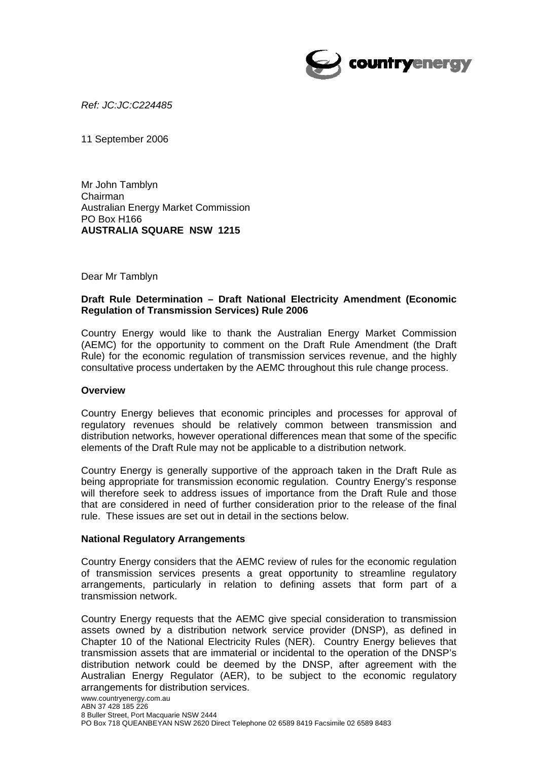

*Ref: JC:JC:C224485* 

11 September 2006

Mr John Tamblyn Chairman Australian Energy Market Commission PO Box H166 **AUSTRALIA SQUARE NSW 1215** 

Dear Mr Tamblyn

## **Draft Rule Determination – Draft National Electricity Amendment (Economic Regulation of Transmission Services) Rule 2006**

Country Energy would like to thank the Australian Energy Market Commission (AEMC) for the opportunity to comment on the Draft Rule Amendment (the Draft Rule) for the economic regulation of transmission services revenue, and the highly consultative process undertaken by the AEMC throughout this rule change process.

### **Overview**

Country Energy believes that economic principles and processes for approval of regulatory revenues should be relatively common between transmission and distribution networks, however operational differences mean that some of the specific elements of the Draft Rule may not be applicable to a distribution network.

Country Energy is generally supportive of the approach taken in the Draft Rule as being appropriate for transmission economic regulation. Country Energy's response will therefore seek to address issues of importance from the Draft Rule and those that are considered in need of further consideration prior to the release of the final rule. These issues are set out in detail in the sections below.

### **National Regulatory Arrangements**

Country Energy considers that the AEMC review of rules for the economic regulation of transmission services presents a great opportunity to streamline regulatory arrangements, particularly in relation to defining assets that form part of a transmission network.

Country Energy requests that the AEMC give special consideration to transmission assets owned by a distribution network service provider (DNSP), as defined in Chapter 10 of the National Electricity Rules (NER). Country Energy believes that transmission assets that are immaterial or incidental to the operation of the DNSP's distribution network could be deemed by the DNSP, after agreement with the Australian Energy Regulator (AER), to be subject to the economic regulatory arrangements for distribution services.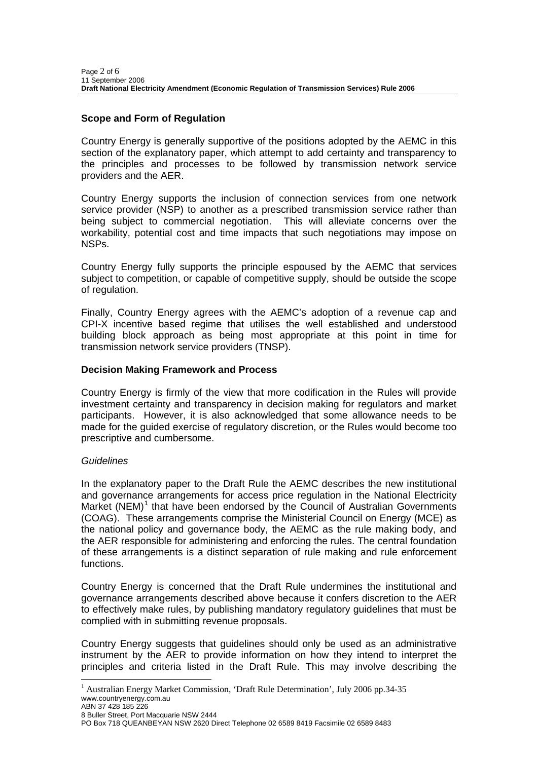# **Scope and Form of Regulation**

Country Energy is generally supportive of the positions adopted by the AEMC in this section of the explanatory paper, which attempt to add certainty and transparency to the principles and processes to be followed by transmission network service providers and the AER.

Country Energy supports the inclusion of connection services from one network service provider (NSP) to another as a prescribed transmission service rather than being subject to commercial negotiation. This will alleviate concerns over the workability, potential cost and time impacts that such negotiations may impose on NSPs.

Country Energy fully supports the principle espoused by the AEMC that services subject to competition, or capable of competitive supply, should be outside the scope of regulation.

Finally, Country Energy agrees with the AEMC's adoption of a revenue cap and CPI-X incentive based regime that utilises the well established and understood building block approach as being most appropriate at this point in time for transmission network service providers (TNSP).

## **Decision Making Framework and Process**

Country Energy is firmly of the view that more codification in the Rules will provide investment certainty and transparency in decision making for regulators and market participants. However, it is also acknowledged that some allowance needs to be made for the guided exercise of regulatory discretion, or the Rules would become too prescriptive and cumbersome.

### *Guidelines*

In the explanatory paper to the Draft Rule the AEMC describes the new institutional and governance arrangements for access price regulation in the National Electricity Market (NEM)<sup>[1](#page-1-0)</sup> that have been endorsed by the Council of Australian Governments (COAG). These arrangements comprise the Ministerial Council on Energy (MCE) as the national policy and governance body, the AEMC as the rule making body, and the AER responsible for administering and enforcing the rules. The central foundation of these arrangements is a distinct separation of rule making and rule enforcement functions.

Country Energy is concerned that the Draft Rule undermines the institutional and governance arrangements described above because it confers discretion to the AER to effectively make rules, by publishing mandatory regulatory guidelines that must be complied with in submitting revenue proposals.

Country Energy suggests that guidelines should only be used as an administrative instrument by the AER to provide information on how they intend to interpret the principles and criteria listed in the Draft Rule. This may involve describing the

l

<span id="page-1-0"></span>www.countryenergy.com.au <sup>1</sup> Australian Energy Market Commission, 'Draft Rule Determination', July 2006 pp.34-35

ABN 37 428 185 226

<sup>8</sup> Buller Street, Port Macquarie NSW 2444

PO Box 718 QUEANBEYAN NSW 2620 Direct Telephone 02 6589 8419 Facsimile 02 6589 8483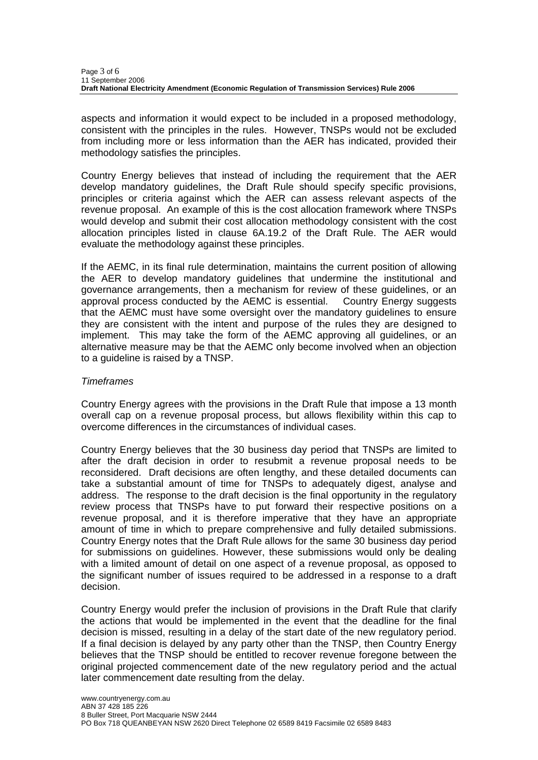aspects and information it would expect to be included in a proposed methodology, consistent with the principles in the rules. However, TNSPs would not be excluded from including more or less information than the AER has indicated, provided their methodology satisfies the principles.

Country Energy believes that instead of including the requirement that the AER develop mandatory guidelines, the Draft Rule should specify specific provisions, principles or criteria against which the AER can assess relevant aspects of the revenue proposal. An example of this is the cost allocation framework where TNSPs would develop and submit their cost allocation methodology consistent with the cost allocation principles listed in clause 6A.19.2 of the Draft Rule. The AER would evaluate the methodology against these principles.

If the AEMC, in its final rule determination, maintains the current position of allowing the AER to develop mandatory guidelines that undermine the institutional and governance arrangements, then a mechanism for review of these guidelines, or an approval process conducted by the AEMC is essential. Country Energy suggests that the AEMC must have some oversight over the mandatory guidelines to ensure they are consistent with the intent and purpose of the rules they are designed to implement. This may take the form of the AEMC approving all guidelines, or an alternative measure may be that the AEMC only become involved when an objection to a guideline is raised by a TNSP.

### *Timeframes*

Country Energy agrees with the provisions in the Draft Rule that impose a 13 month overall cap on a revenue proposal process, but allows flexibility within this cap to overcome differences in the circumstances of individual cases.

Country Energy believes that the 30 business day period that TNSPs are limited to after the draft decision in order to resubmit a revenue proposal needs to be reconsidered. Draft decisions are often lengthy, and these detailed documents can take a substantial amount of time for TNSPs to adequately digest, analyse and address. The response to the draft decision is the final opportunity in the regulatory review process that TNSPs have to put forward their respective positions on a revenue proposal, and it is therefore imperative that they have an appropriate amount of time in which to prepare comprehensive and fully detailed submissions. Country Energy notes that the Draft Rule allows for the same 30 business day period for submissions on guidelines. However, these submissions would only be dealing with a limited amount of detail on one aspect of a revenue proposal, as opposed to the significant number of issues required to be addressed in a response to a draft decision.

Country Energy would prefer the inclusion of provisions in the Draft Rule that clarify the actions that would be implemented in the event that the deadline for the final decision is missed, resulting in a delay of the start date of the new regulatory period. If a final decision is delayed by any party other than the TNSP, then Country Energy believes that the TNSP should be entitled to recover revenue foregone between the original projected commencement date of the new regulatory period and the actual later commencement date resulting from the delay.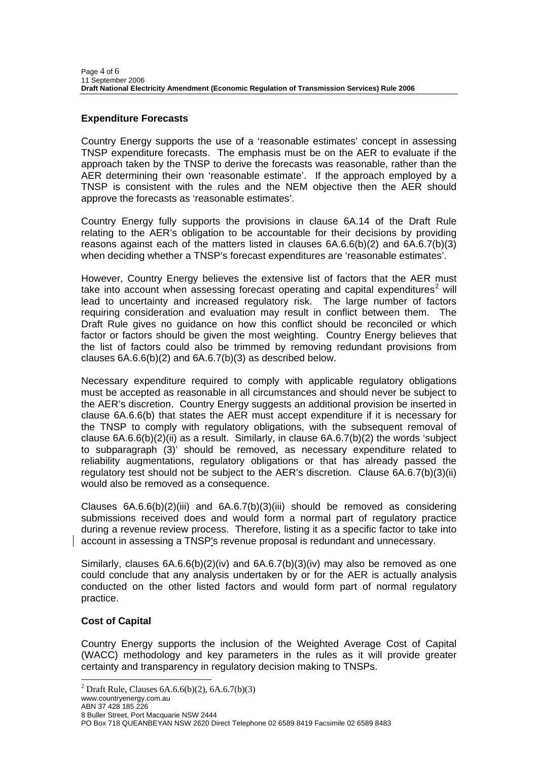# **Expenditure Forecasts**

Country Energy supports the use of a 'reasonable estimates' concept in assessing TNSP expenditure forecasts. The emphasis must be on the AER to evaluate if the approach taken by the TNSP to derive the forecasts was reasonable, rather than the AER determining their own 'reasonable estimate'. If the approach employed by a TNSP is consistent with the rules and the NEM objective then the AER should approve the forecasts as 'reasonable estimates'.

Country Energy fully supports the provisions in clause 6A.14 of the Draft Rule relating to the AER's obligation to be accountable for their decisions by providing reasons against each of the matters listed in clauses 6A.6.6(b)(2) and 6A.6.7(b)(3) when deciding whether a TNSP's forecast expenditures are 'reasonable estimates'.

However, Country Energy believes the extensive list of factors that the AER must take into account when assessing forecast operating and capital expenditures<sup>[2](#page-3-0)</sup> will lead to uncertainty and increased regulatory risk. The large number of factors requiring consideration and evaluation may result in conflict between them. The Draft Rule gives no guidance on how this conflict should be reconciled or which factor or factors should be given the most weighting. Country Energy believes that the list of factors could also be trimmed by removing redundant provisions from clauses 6A.6.6(b)(2) and 6A.6.7(b)(3) as described below.

Necessary expenditure required to comply with applicable regulatory obligations must be accepted as reasonable in all circumstances and should never be subject to the AER's discretion. Country Energy suggests an additional provision be inserted in clause 6A.6.6(b) that states the AER must accept expenditure if it is necessary for the TNSP to comply with regulatory obligations, with the subsequent removal of clause  $6A.6.6(b)(2)(ii)$  as a result. Similarly, in clause  $6A.6.7(b)(2)$  the words 'subject to subparagraph (3)' should be removed, as necessary expenditure related to reliability augmentations, regulatory obligations or that has already passed the regulatory test should not be subject to the AER's discretion. Clause 6A.6.7(b)(3)(ii) would also be removed as a consequence.

Clauses  $6A.6.6(b)(2)(iii)$  and  $6A.6.7(b)(3)(iii)$  should be removed as considering submissions received does and would form a normal part of regulatory practice during a revenue review process. Therefore, listing it as a specific factor to take into account in assessing a TNSP's revenue proposal is redundant and unnecessary.

Similarly, clauses  $6A.6.6(b)(2)(iv)$  and  $6A.6.7(b)(3)(iv)$  may also be removed as one could conclude that any analysis undertaken by or for the AER is actually analysis conducted on the other listed factors and would form part of normal regulatory practice.

# **Cost of Capital**

Country Energy supports the inclusion of the Weighted Average Cost of Capital (WACC) methodology and key parameters in the rules as it will provide greater certainty and transparency in regulatory decision making to TNSPs.

<span id="page-3-0"></span>www.countryenergy.com.au

l

<sup>&</sup>lt;sup>2</sup> Draft Rule, Clauses  $6A.6.6(b)(2)$ ,  $6A.6.7(b)(3)$ 

ABN 37 428 185 226 8 Buller Street, Port Macquarie NSW 2444

PO Box 718 QUEANBEYAN NSW 2620 Direct Telephone 02 6589 8419 Facsimile 02 6589 8483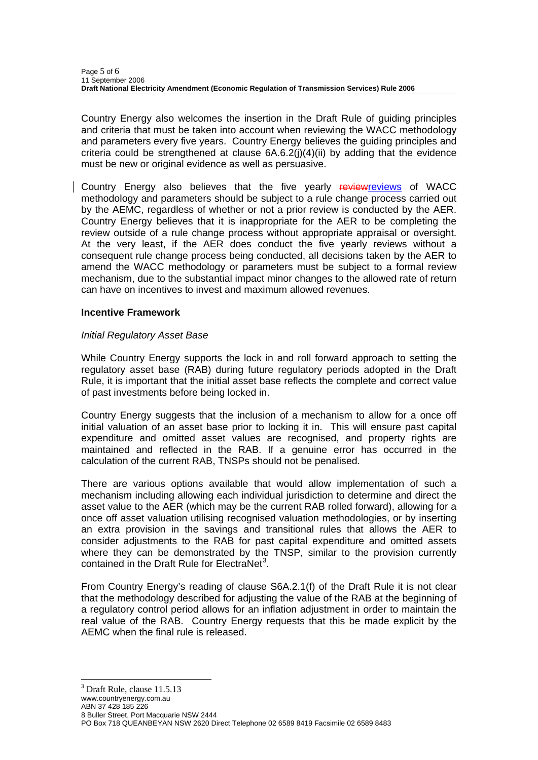Country Energy also welcomes the insertion in the Draft Rule of guiding principles and criteria that must be taken into account when reviewing the WACC methodology and parameters every five years. Country Energy believes the guiding principles and criteria could be strengthened at clause 6A.6.2(j)(4)(ii) by adding that the evidence must be new or original evidence as well as persuasive.

Country Energy also believes that the five yearly reviewreviews of WACC methodology and parameters should be subject to a rule change process carried out by the AEMC, regardless of whether or not a prior review is conducted by the AER. Country Energy believes that it is inappropriate for the AER to be completing the review outside of a rule change process without appropriate appraisal or oversight. At the very least, if the AER does conduct the five yearly reviews without a consequent rule change process being conducted, all decisions taken by the AER to amend the WACC methodology or parameters must be subject to a formal review mechanism, due to the substantial impact minor changes to the allowed rate of return can have on incentives to invest and maximum allowed revenues.

## **Incentive Framework**

## *Initial Regulatory Asset Base*

While Country Energy supports the lock in and roll forward approach to setting the regulatory asset base (RAB) during future regulatory periods adopted in the Draft Rule, it is important that the initial asset base reflects the complete and correct value of past investments before being locked in.

Country Energy suggests that the inclusion of a mechanism to allow for a once off initial valuation of an asset base prior to locking it in. This will ensure past capital expenditure and omitted asset values are recognised, and property rights are maintained and reflected in the RAB. If a genuine error has occurred in the calculation of the current RAB, TNSPs should not be penalised.

There are various options available that would allow implementation of such a mechanism including allowing each individual jurisdiction to determine and direct the asset value to the AER (which may be the current RAB rolled forward), allowing for a once off asset valuation utilising recognised valuation methodologies, or by inserting an extra provision in the savings and transitional rules that allows the AER to consider adjustments to the RAB for past capital expenditure and omitted assets where they can be demonstrated by the TNSP, similar to the provision currently contained in the Draft Rule for ElectraNet<sup>[3](#page-4-0)</sup>.

From Country Energy's reading of clause S6A.2.1(f) of the Draft Rule it is not clear that the methodology described for adjusting the value of the RAB at the beginning of a regulatory control period allows for an inflation adjustment in order to maintain the real value of the RAB. Country Energy requests that this be made explicit by the AEMC when the final rule is released.

<sup>3</sup> Draft Rule, clause 11.5.13

<span id="page-4-0"></span>www.countryenergy.com.au

l

PO Box 718 QUEANBEYAN NSW 2620 Direct Telephone 02 6589 8419 Facsimile 02 6589 8483

ABN 37 428 185 226

<sup>8</sup> Buller Street, Port Macquarie NSW 2444